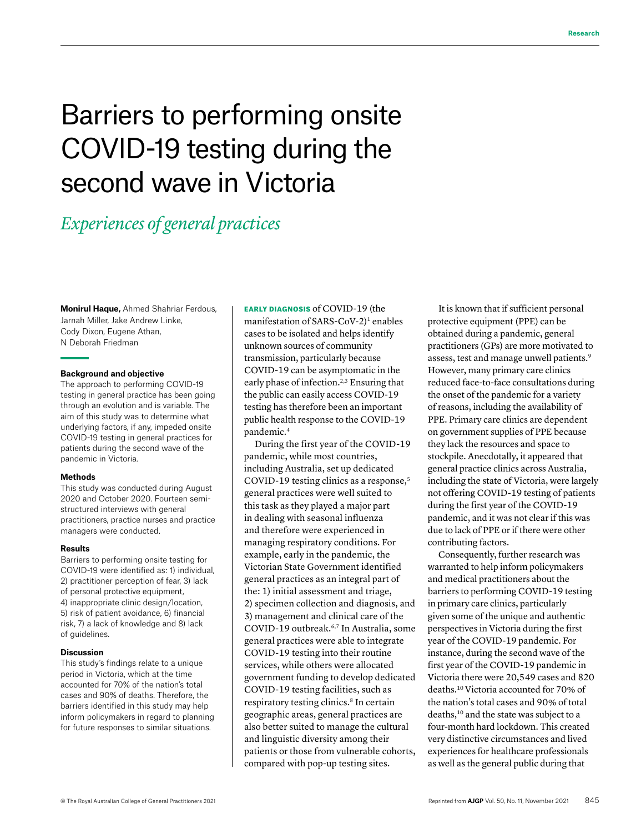# Barriers to performing onsite COVID-19 testing during the second wave in Victoria

# *Experiences of general practices*

**Monirul Haque,** Ahmed Shahriar Ferdous, Jarnah Miller, Jake Andrew Linke, Cody Dixon, Eugene Athan, N Deborah Friedman

#### **Background and objective**

The approach to performing COVID-19 testing in general practice has been going through an evolution and is variable. The aim of this study was to determine what underlying factors, if any, impeded onsite COVID-19 testing in general practices for patients during the second wave of the pandemic in Victoria.

#### **Methods**

This study was conducted during August 2020 and October 2020. Fourteen semistructured interviews with general practitioners, practice nurses and practice managers were conducted.

#### **Results**

Barriers to performing onsite testing for COVID-19 were identified as: 1) individual, 2) practitioner perception of fear, 3) lack of personal protective equipment, 4) inappropriate clinic design/location, 5) risk of patient avoidance, 6) financial risk, 7) a lack of knowledge and 8) lack of guidelines.

#### **Discussion**

This study's findings relate to a unique period in Victoria, which at the time accounted for 70% of the nation's total cases and 90% of deaths. Therefore, the barriers identified in this study may help inform policymakers in regard to planning for future responses to similar situations.

EARLY DIAGNOSIS of COVID-19 (the manifestation of SARS-CoV-2)<sup>1</sup> enables cases to be isolated and helps identify unknown sources of community transmission, particularly because COVID-19 can be asymptomatic in the early phase of infection.<sup>2,3</sup> Ensuring that the public can easily access COVID-19 testing has therefore been an important public health response to the COVID-19 pandemic.4

During the first year of the COVID-19 pandemic, while most countries, including Australia, set up dedicated COVID-19 testing clinics as a response,<sup>5</sup> general practices were well suited to this task as they played a major part in dealing with seasonal influenza and therefore were experienced in managing respiratory conditions. For example, early in the pandemic, the Victorian State Government identified general practices as an integral part of the: 1) initial assessment and triage, 2) specimen collection and diagnosis, and 3) management and clinical care of the COVID-19 outbreak.6,7 In Australia, some general practices were able to integrate COVID-19 testing into their routine services, while others were allocated government funding to develop dedicated COVID-19 testing facilities, such as respiratory testing clinics.<sup>8</sup> In certain geographic areas, general practices are also better suited to manage the cultural and linguistic diversity among their patients or those from vulnerable cohorts, compared with pop-up testing sites.

It is known that if sufficient personal protective equipment (PPE) can be obtained during a pandemic, general practitioners (GPs) are more motivated to assess, test and manage unwell patients.9 However, many primary care clinics reduced face-to-face consultations during the onset of the pandemic for a variety of reasons, including the availability of PPE. Primary care clinics are dependent on government supplies of PPE because they lack the resources and space to stockpile. Anecdotally, it appeared that general practice clinics across Australia, including the state of Victoria, were largely not offering COVID-19 testing of patients during the first year of the COVID-19 pandemic, and it was not clear if this was due to lack of PPE or if there were other contributing factors.

Consequently, further research was warranted to help inform policymakers and medical practitioners about the barriers to performing COVID-19 testing in primary care clinics, particularly given some of the unique and authentic perspectives in Victoria during the first year of the COVID-19 pandemic. For instance, during the second wave of the first year of the COVID-19 pandemic in Victoria there were 20,549 cases and 820 deaths.10 Victoria accounted for 70% of the nation's total cases and 90% of total deaths,<sup>10</sup> and the state was subject to a four-month hard lockdown. This created very distinctive circumstances and lived experiences for healthcare professionals as well as the general public during that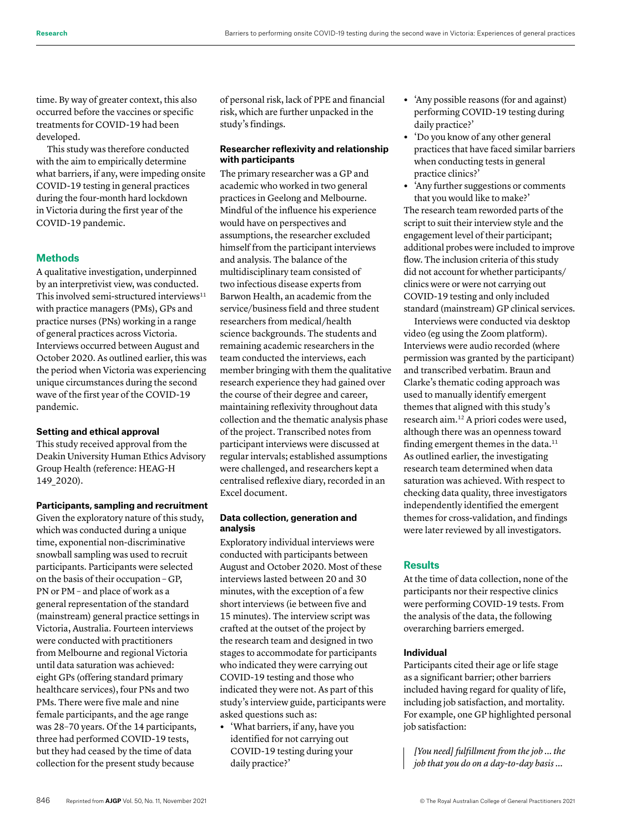time. By way of greater context, this also occurred before the vaccines or specific treatments for COVID-19 had been developed.

This study was therefore conducted with the aim to empirically determine what barriers, if any, were impeding onsite COVID-19 testing in general practices during the four-month hard lockdown in Victoria during the first year of the COVID-19 pandemic.

# **Methods**

A qualitative investigation, underpinned by an interpretivist view, was conducted. This involved semi-structured interviews $11$ with practice managers (PMs), GPs and practice nurses (PNs) working in a range of general practices across Victoria. Interviews occurred between August and October 2020. As outlined earlier, this was the period when Victoria was experiencing unique circumstances during the second wave of the first year of the COVID-19 pandemic.

# **Setting and ethical approval**

This study received approval from the Deakin University Human Ethics Advisory Group Health (reference: HEAG-H 149\_2020).

#### **Participants, sampling and recruitment**

Given the exploratory nature of this study, which was conducted during a unique time, exponential non-discriminative snowball sampling was used to recruit participants. Participants were selected on the basis of their occupation – GP, PN or PM – and place of work as a general representation of the standard (mainstream) general practice settings in Victoria, Australia. Fourteen interviews were conducted with practitioners from Melbourne and regional Victoria until data saturation was achieved: eight GPs (offering standard primary healthcare services), four PNs and two PMs. There were five male and nine female participants, and the age range was 28–70 years. Of the 14 participants, three had performed COVID-19 tests, but they had ceased by the time of data collection for the present study because

of personal risk, lack of PPE and financial risk, which are further unpacked in the study's findings.

# **Researcher reflexivity and relationship with participants**

The primary researcher was a GP and academic who worked in two general practices in Geelong and Melbourne. Mindful of the influence his experience would have on perspectives and assumptions, the researcher excluded himself from the participant interviews and analysis. The balance of the multidisciplinary team consisted of two infectious disease experts from Barwon Health, an academic from the service/business field and three student researchers from medical/health science backgrounds. The students and remaining academic researchers in the team conducted the interviews, each member bringing with them the qualitative research experience they had gained over the course of their degree and career, maintaining reflexivity throughout data collection and the thematic analysis phase of the project. Transcribed notes from participant interviews were discussed at regular intervals; established assumptions were challenged, and researchers kept a centralised reflexive diary, recorded in an Excel document.

#### **Data collection, generation and analysis**

Exploratory individual interviews were conducted with participants between August and October 2020. Most of these interviews lasted between 20 and 30 minutes, with the exception of a few short interviews (ie between five and 15 minutes). The interview script was crafted at the outset of the project by the research team and designed in two stages to accommodate for participants who indicated they were carrying out COVID-19 testing and those who indicated they were not. As part of this study's interview guide, participants were asked questions such as:

**•** 'What barriers, if any, have you identified for not carrying out COVID-19 testing during your daily practice?'

- **•** 'Any possible reasons (for and against) performing COVID-19 testing during daily practice?'
- **•** 'Do you know of any other general practices that have faced similar barriers when conducting tests in general practice clinics?'
- **•** 'Any further suggestions or comments that you would like to make?'

The research team reworded parts of the script to suit their interview style and the engagement level of their participant; additional probes were included to improve flow. The inclusion criteria of this study did not account for whether participants/ clinics were or were not carrying out COVID-19 testing and only included standard (mainstream) GP clinical services.

Interviews were conducted via desktop video (eg using the Zoom platform). Interviews were audio recorded (where permission was granted by the participant) and transcribed verbatim. Braun and Clarke's thematic coding approach was used to manually identify emergent themes that aligned with this study's research aim.12 A priori codes were used, although there was an openness toward finding emergent themes in the data.<sup>11</sup> As outlined earlier, the investigating research team determined when data saturation was achieved. With respect to checking data quality, three investigators independently identified the emergent themes for cross-validation, and findings were later reviewed by all investigators.

# **Results**

At the time of data collection, none of the participants nor their respective clinics were performing COVID-19 tests. From the analysis of the data, the following overarching barriers emerged.

# **Individual**

Participants cited their age or life stage as a significant barrier; other barriers included having regard for quality of life, including job satisfaction, and mortality. For example, one GP highlighted personal job satisfaction:

*[You need] fulfillment from the job ... the job that you do on a day-to-day basis …*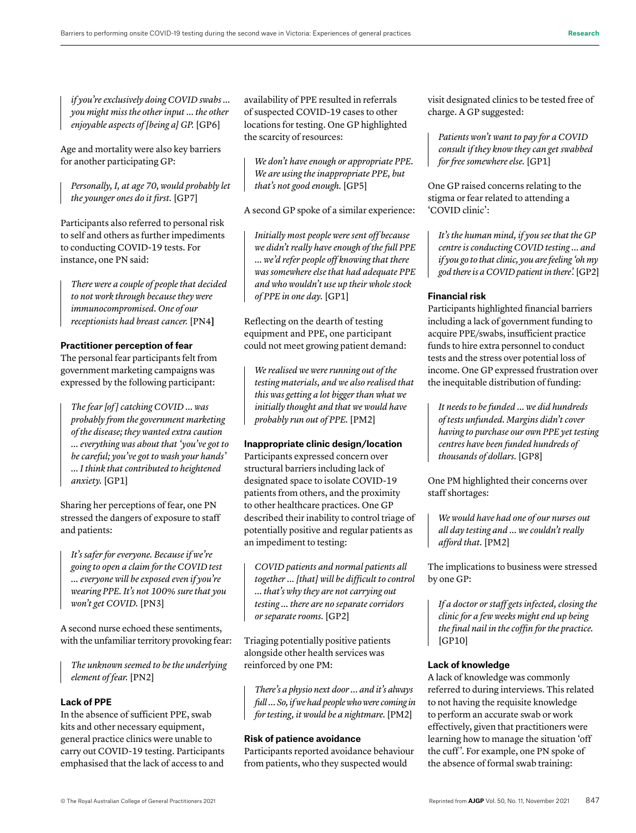*if you're exclusively doing COVID swabs … you might miss the other input … the other enjoyable aspects of [being a] GP.* [GP6]

Age and mortality were also key barriers for another participating GP:

*Personally, I, at age 70, would probably let the younger ones do it first.* [GP7]

Participants also referred to personal risk to self and others as further impediments to conducting COVID-19 tests. For instance, one PN said:

*There were a couple of people that decided to not work through because they were immunocompromised. One of our receptionists had breast cancer.* [PN4**]**

#### **Practitioner perception of fear**

The personal fear participants felt from government marketing campaigns was expressed by the following participant:

*The fear [of ] catching COVID … was probably from the government marketing of the disease; they wanted extra caution … everything was about that 'you've got to be careful; you've got to wash your hands' … I think that contributed to heightened anxiety.* [GP1]

Sharing her perceptions of fear, one PN stressed the dangers of exposure to staff and patients:

*It's safer for everyone. Because if we're going to open a claim for the COVID test … everyone will be exposed even if you're wearing PPE. It's not 100% sure that you won't get COVID.* [PN3]

A second nurse echoed these sentiments, with the unfamiliar territory provoking fear:

*The unknown seemed to be the underlying element of fear.* [PN2]

#### **Lack of PPE**

In the absence of sufficient PPE, swab kits and other necessary equipment, general practice clinics were unable to carry out COVID-19 testing. Participants emphasised that the lack of access to and

availability of PPE resulted in referrals of suspected COVID-19 cases to other locations for testing. One GP highlighted the scarcity of resources:

*We don't have enough or appropriate PPE. We are using the inappropriate PPE, but that's not good enough.* [GP5]

A second GP spoke of a similar experience:

*Initially most people were sent off because we didn't really have enough of the full PPE … we'd refer people off knowing that there was somewhere else that had adequate PPE and who wouldn't use up their whole stock of PPE in one day.* [GP1]

Reflecting on the dearth of testing equipment and PPE, one participant could not meet growing patient demand:

*We realised we were running out of the testing materials, and we also realised that this was getting a lot bigger than what we initially thought and that we would have probably run out of PPE.* [PM2]

#### **Inappropriate clinic design/location**

Participants expressed concern over structural barriers including lack of designated space to isolate COVID-19 patients from others, and the proximity to other healthcare practices. One GP described their inability to control triage of potentially positive and regular patients as an impediment to testing:

*COVID patients and normal patients all together … [that] will be difficult to control … that's why they are not carrying out testing … there are no separate corridors or separate rooms.* [GP2]

Triaging potentially positive patients alongside other health services was reinforced by one PM:

*There's a physio next door … and it's always full … So, if we had people who were coming in for testing, it would be a nightmare.* [PM2]

#### **Risk of patience avoidance**

Participants reported avoidance behaviour from patients, who they suspected would

visit designated clinics to be tested free of charge. A GP suggested:

*Patients won't want to pay for a COVID consult if they know they can get swabbed for free somewhere else.* [GP1]

One GP raised concerns relating to the stigma or fear related to attending a 'COVID clinic':

*It's the human mind, if you see that the GP centre is conducting COVID testing … and if you go to that clinic, you are feeling 'oh my god there is a COVID patient in there'.* [GP2]

#### **Financial risk**

Participants highlighted financial barriers including a lack of government funding to acquire PPE/swabs, insufficient practice funds to hire extra personnel to conduct tests and the stress over potential loss of income. One GP expressed frustration over the inequitable distribution of funding:

*It needs to be funded … we did hundreds of tests unfunded. Margins didn't cover having to purchase our own PPE yet testing centres have been funded hundreds of thousands of dollars.* [GP8]

One PM highlighted their concerns over staff shortages:

*We would have had one of our nurses out all day testing and … we couldn't really afford that.* [PM2]

The implications to business were stressed by one GP:

*If a doctor or staff gets infected, closing the clinic for a few weeks might end up being the final nail in the coffin for the practice.* [GP10]

#### **Lack of knowledge**

A lack of knowledge was commonly referred to during interviews. This related to not having the requisite knowledge to perform an accurate swab or work effectively, given that practitioners were learning how to manage the situation 'off the cuff '. For example, one PN spoke of the absence of formal swab training: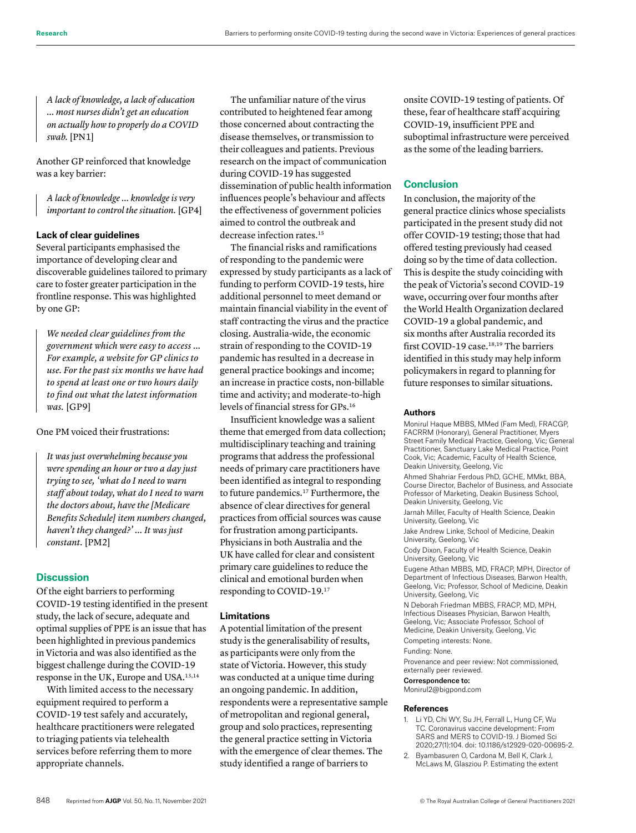*A lack of knowledge, a lack of education … most nurses didn't get an education on actually how to properly do a COVID swab.* [PN1]

Another GP reinforced that knowledge was a key barrier:

*A lack of knowledge … knowledge is very important to control the situation.* [GP4]

#### **Lack of clear guidelines**

Several participants emphasised the importance of developing clear and discoverable guidelines tailored to primary care to foster greater participation in the frontline response. This was highlighted by one GP:

*We needed clear guidelines from the government which were easy to access … For example, a website for GP clinics to use. For the past six months we have had to spend at least one or two hours daily to find out what the latest information was.* [GP9]

One PM voiced their frustrations:

*It was just overwhelming because you were spending an hour or two a day just trying to see, 'what do I need to warn staff about today, what do I need to warn the doctors about, have the [Medicare Benefits Schedule] item numbers changed, haven't they changed?' … It was just constant.* [PM2]

# **Discussion**

Of the eight barriers to performing COVID-19 testing identified in the present study, the lack of secure, adequate and optimal supplies of PPE is an issue that has been highlighted in previous pandemics in Victoria and was also identified as the biggest challenge during the COVID-19 response in the UK, Europe and USA.13,14

With limited access to the necessary equipment required to perform a COVID-19 test safely and accurately, healthcare practitioners were relegated to triaging patients via telehealth services before referring them to more appropriate channels.

The unfamiliar nature of the virus contributed to heightened fear among those concerned about contracting the disease themselves, or transmission to their colleagues and patients. Previous research on the impact of communication during COVID-19 has suggested dissemination of public health information influences people's behaviour and affects the effectiveness of government policies aimed to control the outbreak and decrease infection rates.<sup>15</sup>

The financial risks and ramifications of responding to the pandemic were expressed by study participants as a lack of funding to perform COVID-19 tests, hire additional personnel to meet demand or maintain financial viability in the event of staff contracting the virus and the practice closing. Australia-wide, the economic strain of responding to the COVID-19 pandemic has resulted in a decrease in general practice bookings and income; an increase in practice costs, non-billable time and activity; and moderate-to-high levels of financial stress for GPs.16

Insufficient knowledge was a salient theme that emerged from data collection; multidisciplinary teaching and training programs that address the professional needs of primary care practitioners have been identified as integral to responding to future pandemics.<sup>17</sup> Furthermore, the absence of clear directives for general practices from official sources was cause for frustration among participants. Physicians in both Australia and the UK have called for clear and consistent primary care guidelines to reduce the clinical and emotional burden when responding to COVID-19.17

#### **Limitations**

A potential limitation of the present study is the generalisability of results, as participants were only from the state of Victoria. However, this study was conducted at a unique time during an ongoing pandemic. In addition, respondents were a representative sample of metropolitan and regional general, group and solo practices, representing the general practice setting in Victoria with the emergence of clear themes. The study identified a range of barriers to

onsite COVID-19 testing of patients. Of these, fear of healthcare staff acquiring COVID-19, insufficient PPE and suboptimal infrastructure were perceived as the some of the leading barriers.

# **Conclusion**

In conclusion, the majority of the general practice clinics whose specialists participated in the present study did not offer COVID-19 testing; those that had offered testing previously had ceased doing so by the time of data collection. This is despite the study coinciding with the peak of Victoria's second COVID-19 wave, occurring over four months after the World Health Organization declared COVID-19 a global pandemic, and six months after Australia recorded its first COVID-19 case.<sup>18,19</sup> The barriers identified in this study may help inform policymakers in regard to planning for future responses to similar situations.

#### **Authors**

Monirul Haque MBBS, MMed (Fam Med), FRACGP, FACRRM (Honorary), General Practitioner, Myers Street Family Medical Practice, Geelong, Vic; General Practitioner, Sanctuary Lake Medical Practice, Point Cook, Vic; Academic, Faculty of Health Science, Deakin University, Geelong, Vic

Ahmed Shahriar Ferdous PhD, GCHE, MMkt, BBA, Course Director, Bachelor of Business, and Associate Professor of Marketing, Deakin Business School, Deakin University, Geelong, Vic

Jarnah Miller, Faculty of Health Science, Deakin University, Geelong, Vic

Jake Andrew Linke, School of Medicine, Deakin University, Geelong, Vic

Cody Dixon, Faculty of Health Science, Deakin University, Geelong, Vic

Eugene Athan MBBS, MD, FRACP, MPH, Director of Department of Infectious Diseases, Barwon Health, Geelong, Vic; Professor, School of Medicine, Deakin University, Geelong, Vic

N Deborah Friedman MBBS, FRACP, MD, MPH, Infectious Diseases Physician, Barwon Health, Geelong, Vic; Associate Professor, School of Medicine, Deakin University, Geelong, Vic Competing interests: None.

Funding: None.

Provenance and peer review: Not commissioned, externally peer reviewed.

Correspondence to:

Monirul2@bigpond.com

#### **References**

- 1. Li YD, Chi WY, Su JH, Ferrall L, Hung CF, Wu TC. Coronavirus vaccine development: From SARS and MERS to COVID-19. J Biomed Sci 2020;27(1):104. doi: 10.1186/s12929-020-00695-2.
- 2. Byambasuren O, Cardona M, Bell K, Clark J, McLaws M, Glasziou P. Estimating the extent